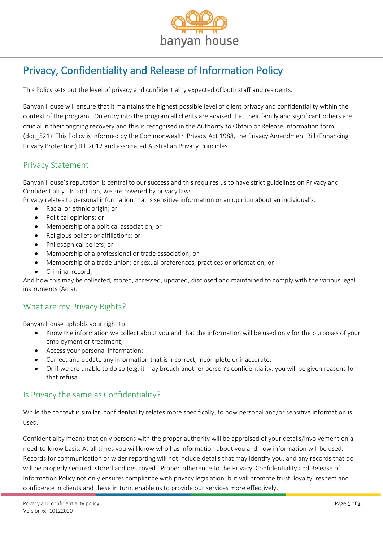

# Privacy, Confidentiality and Release of Information Policy

This Policy sets out the level of privacy and confidentiality expected of both staff and residents.

Banyan House will ensure that it maintains the highest possible level of client privacy and confidentiality within the context of the program. On entry into the program all clients are advised that their family and significant others are crucial in their ongoing recovery and this is recognised in the Authority to Obtain or Release Information form (doc\_521). This Policy is informed by the Commonwealth Privacy Act 1988, the Privacy Amendment Bill (Enhancing Privacy Protection) Bill 2012 and associated Australian Privacy Principles.

# Privacy Statement

Banyan House's reputation is central to our success and this requires us to have strict guidelines on Privacy and Confidentiality. In addition, we are covered by privacy laws.

Privacy relates to personal information that is sensitive information or an opinion about an individual's:

- Racial or ethnic origin; or
- Political opinions; or
- Membership of a political association; or
- Religious beliefs or affiliations; or
- Philosophical beliefs; or
- Membership of a professional or trade association; or
- Membership of a trade union; or sexual preferences, practices or orientation; or
- Criminal record:

And how this may be collected, stored, accessed, updated, disclosed and maintained to comply with the various legal instruments (Acts).

## What are my Privacy Rights?

Banyan House upholds your right to:

- Know the information we collect about you and that the information will be used only for the purposes of your employment or treatment;
- Access your personal information;
- Correct and update any information that is incorrect, incomplete or inaccurate;
- Or if we are unable to do so (e.g. it may breach another person's confidentiality, you will be given reasons for that refusal

## Is Privacy the same as Confidentiality?

While the context is similar, confidentiality relates more specifically, to how personal and/or sensitive information is used.

Confidentiality means that only persons with the proper authority will be appraised of your details/involvement on a need-to-know basis. At all times you will know who has information about you and how information will be used. Records for communication or wider reporting will not include details that may identify you, and any records that do will be properly secured, stored and destroyed. Proper adherence to the Privacy, Confidentiality and Release of Information Policy not only ensures compliance with privacy legislation, but will promote trust, loyalty, respect and confidence in clients and these in turn, enable us to provide our services more effectively.